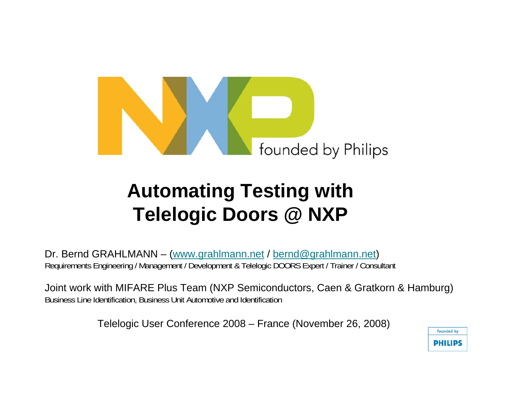

# **Automating Testing with Telelogic Doors @ NXP**

Dr. Bernd GRAHLMANN – (www.grahlmann.net / bernd@grahlmann.net) Requirements Engineering / Management / Development & Telelogic DOORS Expert / Trainer / Consultant

Joint work with MIFARE Plus Team (NXP Semiconductors, Caen & Gratkorn & Hamburg) Business Line Identification, Business Unit Automotive and Identification

Telelogic User Conference 2008 – France (November 26, 2008)

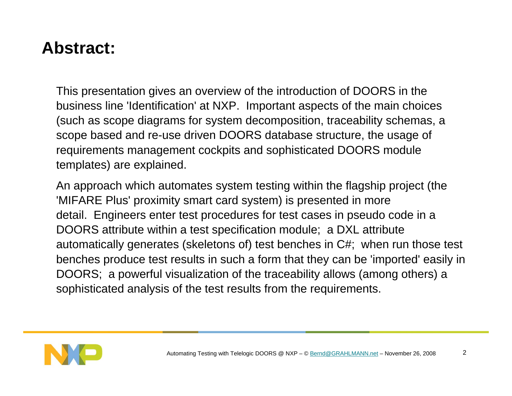### **Abstract:**

This presentation gives an overview of the introduction of DOORS in the business line 'Identification' at NXP. Important aspects of the main choices (such as scope diagrams for system decomposition, traceability schemas, a scope based and re-use driven DOORS database structure, the usage of requirements management cockpits and sophisticated DOORS module templates) are explained.

An approach which automates system testing within the flagship project (the 'MIFARE Plus' proximity smart card system) is presented in more detail. Engineers enter test procedures for test cases in pseudo code in a DOORS attribute within a test specification module; a DXL attribute automatically generates (skeletons of) test benches in C#; when run those test benches produce test results in such a form that they can be 'imported' easily in DOORS; a powerful visualization of the traceability allows (among others) a sophisticated analysis of the test results from the requirements.

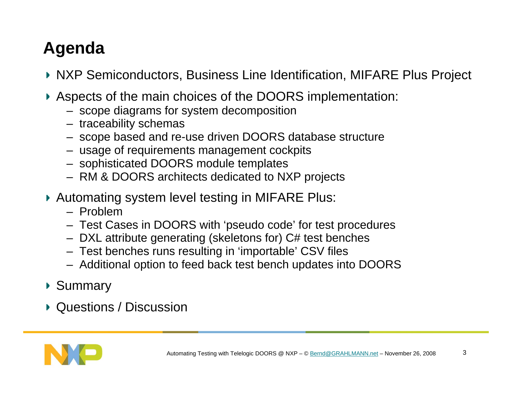# **Agenda**

- NXP Semiconductors, Business Line Identification, MIFARE Plus Project
- Aspects of the main choices of the DOORS implementation:
	- scope diagrams for system decomposition
	- traceability schemas
	- scope based and re-use driven DOORS database structure
	- usage of requirements management cockpits
	- sophisticated DOORS module templates
	- RM & DOORS architects dedicated to NXP projects
- ▶ Automating system level testing in MIFARE Plus:
	- Problem
	- Test Cases in DOORS with 'pseudo code' for test procedures
	- DXL attribute generating (skeletons for) C# test benches
	- Test benches runs resulting in 'importable' CSV files
	- Additional option to feed back test bench updates into DOORS
- ▶ Summary
- ▶ Questions / Discussion

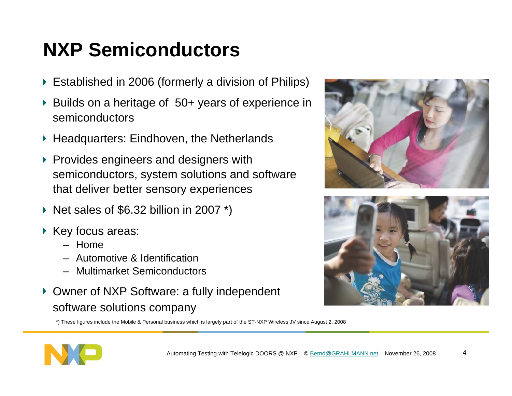# **NXP Semiconductors**

- Established in 2006 (formerly a division of Philips)
- ▶ Builds on a heritage of 50+ years of experience in semiconductors
- ▶ Headquarters: Eindhoven, the Netherlands
- **Provides engineers and designers with** semiconductors, system solutions and software that deliver better sensory experiences
- Net sales of \$6.32 billion in 2007  $*$ )
- ▶ Key focus areas:
	- Home
	- Automotive & Identification
	- Multimarket Semiconductors
- ▶ Owner of NXP Software: a fully independent software solutions company

\*) These figures include the Mobile & Personal business which is largely part of the ST-NXP Wireless JV since August 2, 2008





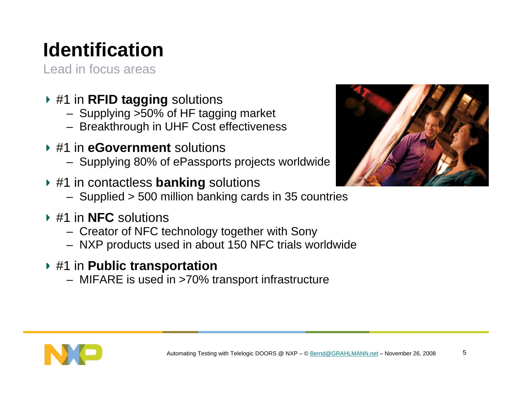# **Identification**

Lead in focus areas

- #1 in **RFID tagging** solutions
	- Supplying >50% of HF tagging market
	- Breakthrough in UHF Cost effectiveness
- #1 in **eGovernment** solutions
	- Supplying 80% of ePassports projects worldwide
- #1 in contactless **banking** solutions
	- Supplied > 500 million banking cards in 35 countries
- #1 in **NFC** solutions
	- Creator of NFC technology together with Sony
	- NXP products used in about 150 NFC trials worldwide
- #1 in **Public transportation** 
	- MIFARE is used in >70% transport infrastructure



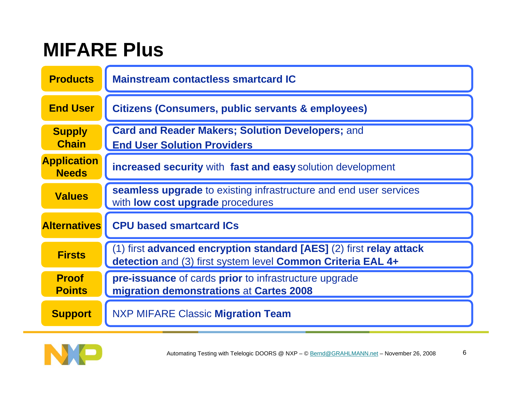# **MIFARE Plus**

| <b>Products</b>                    | <b>Mainstream contactless smartcard IC</b>                                                                                         |  |  |  |
|------------------------------------|------------------------------------------------------------------------------------------------------------------------------------|--|--|--|
| <b>End User</b>                    | <b>Citizens (Consumers, public servants &amp; employees)</b>                                                                       |  |  |  |
| <b>Supply</b><br><b>Chain</b>      | <b>Card and Reader Makers; Solution Developers; and</b><br><b>End User Solution Providers</b>                                      |  |  |  |
| <b>Application</b><br><b>Needs</b> | increased security with fast and easy solution development                                                                         |  |  |  |
| <b>Values</b>                      | <b>seamless upgrade</b> to existing infrastructure and end user services<br>with <b>low cost upgrade</b> procedures                |  |  |  |
| <b>Alternatives</b>                | <b>CPU based smartcard ICs</b>                                                                                                     |  |  |  |
| <b>Firsts</b>                      | (1) first advanced encryption standard [AES] (2) first relay attack<br>detection and (3) first system level Common Criteria EAL 4+ |  |  |  |
| <b>Proof</b><br><b>Points</b>      | <b>pre-issuance</b> of cards <b>prior</b> to infrastructure upgrade<br>migration demonstrations at Cartes 2008                     |  |  |  |
| <b>Support</b>                     | <b>NXP MIFARE Classic Migration Team</b>                                                                                           |  |  |  |

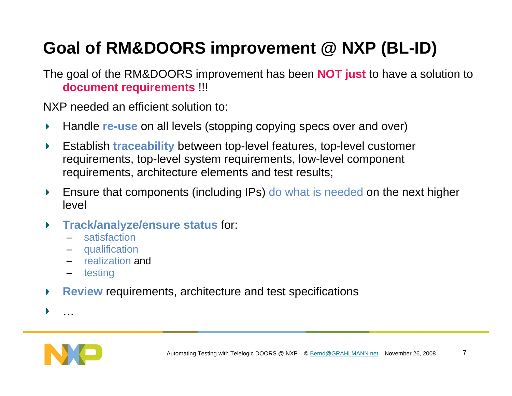# **Goal of RM&DOORS improvement @ NXP (BL-ID)**

The goal of the RM&DOORS improvement has been **NOT just** to have a solution to **document requirements** !!!

NXP needed an efficient solution to:

- Handle **re-use** on all levels (stopping copying specs over and over) Þ.
- Establish **traceability** between top-level features, top-level customer Þ. requirements, top-level system requirements, low-level component requirements, architecture elements and test results;
- Ensure that components (including IPs) do what is needed on the next higher Þ. level
- **Track/analyze/ensure status** for:
	- satisfaction
	- –qualification
	- realization and
	- testing
- **Review** requirements, architecture and test specifications  $\blacktriangleright$

…

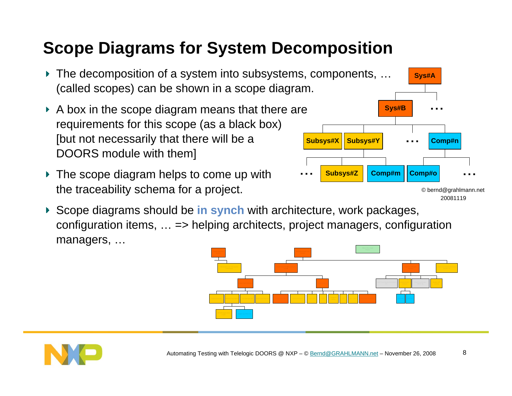## **Scope Diagrams for System Decomposition**

- The decomposition of a system into subsystems, components, … (called scopes) can be shown in a scope diagram.
- $\triangleright$  A box in the scope diagram means that there are requirements for this scope (as a black box) [but not necessarily that there will be a DOORS module with them]
- The scope diagram helps to come up with the traceability schema for a project.
- Scope diagrams should be **in synch** with architecture, work packages, configuration items, … => helping architects, project managers, configuration managers, …



**Subsys#X**

**Sys#B**

**Subsys#Y**

**Subsys#Z Comp#m**

**Sys#A**

**Comp#o**

**Comp#n**

20081119© bernd@grahlmann.net

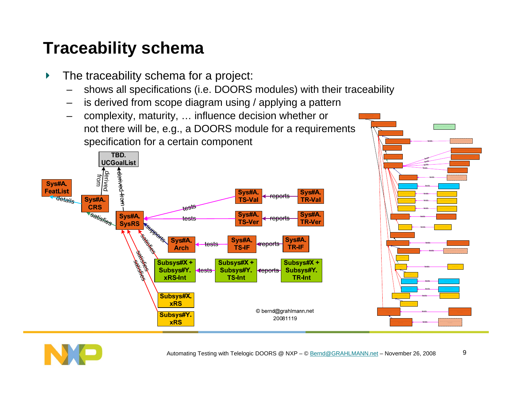### **Traceability schema**

- The traceability schema for a project:
	- shows all specifications (i.e. DOORS modules) with their traceability
	- is derived from scope diagram using / applying a pattern
	- complexity, maturity, … influence decision whether or not there will be, e.g., a DOORS module for a requirements specification for a certain component





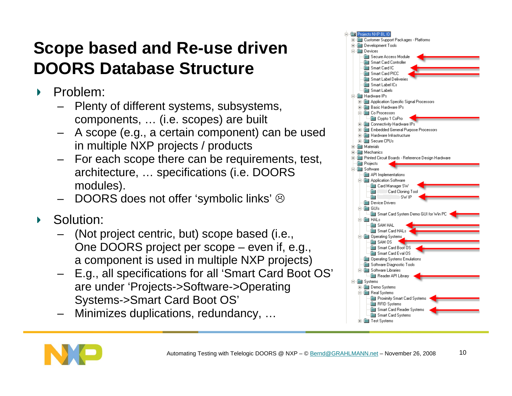## **Scope based and Re-use driven DOORS Database Structure**

- Problem:  $\blacktriangleright$ 
	- – Plenty of different systems, subsystems, components, … (i.e. scopes) are built
	- – A scope (e.g., a certain component) can be used in multiple NXP projects / products
	- – For each scope there can be requirements, test, architecture, … specifications (i.e. DOORS modules).
	- –DOORS does not offer 'symbolic links'  $\odot$
- Solution:  $\blacktriangleright$ 
	- – (Not project centric, but) scope based (i.e., One DOORS project per scope – even if, e.g., a component is used in multiple NXP projects)
	- – E.g., all specifications for all 'Smart Card Boot OS' are under 'Projects->Software->Operating Systems->Smart Card Boot OS'
	- –Minimizes duplications, redundancy, …



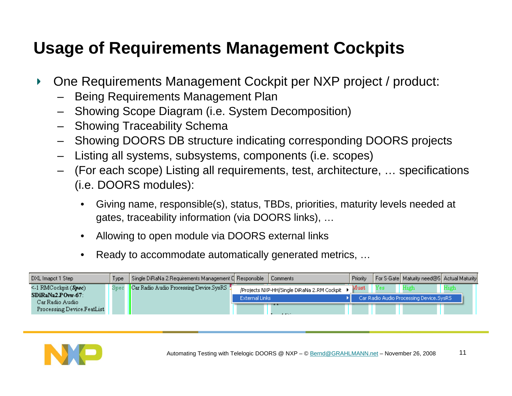## **Usage of Requirements Management Cockpits**

- One Requirements Management Cockpit per NXP project / product:  $\blacktriangleright$ 
	- –Being Requirements Management Plan
	- Showing Scope Diagram (i.e. System Decomposition)
	- Showing Traceability Schema
	- Showing DOORS DB structure indicating corresponding DOORS projects
	- –Listing all systems, subsystems, components (i.e. scopes)
	- (For each scope) Listing all requirements, test, architecture, … specifications (i.e. DOORS modules):
		- • Giving name, responsible(s), status, TBDs, priorities, maturity levels needed at gates, traceability information (via DOORS links), …
		- •Allowing to open module via DOORS external links
		- $\bullet$ Ready to accommodate automatically generated metrics, …

| DXL Imapct 1 Step                                                                | Type: | Single DiRaNa 2.Requirements Management C Responsible Comments |                       |                                             | Priority          |     | For S-Gate   Maturity need@S   Actual Maturity  |      |
|----------------------------------------------------------------------------------|-------|----------------------------------------------------------------|-----------------------|---------------------------------------------|-------------------|-----|-------------------------------------------------|------|
| $\leq 1$ RMC ockpit $(\textit{Spec})$<br>$SDiRaNa2.POvw-67$ :<br>Car Radio Audio | Spec  | Car Radio Audio Processing Device SysRS                        | <b>External Links</b> | /Projects NXP-HH/Single DiRaNa 2.RM Cockpit | ${\rm \, Must}$ . | Yes | High<br>Car Radio Audio Processing Device.SysRS | High |
| Processing Device FeatList                                                       |       |                                                                |                       | ---<br>$-4.4533$                            |                   |     |                                                 |      |

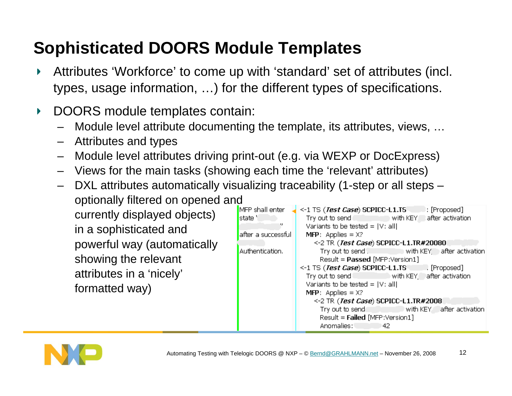## **Sophisticated DOORS Module Templates**

- Attributes 'Workforce' to come up with 'standard' set of attributes (incl.  $\blacktriangleright$ types, usage information, …) for the different types of specifications.
- DOORS module templates contain: Þ.
	- –Module level attribute documenting the template, its attributes, views, …
	- Attributes and types
	- –Module level attributes driving print-out (e.g. via WEXP or DocExpress)
	- Views for the main tasks (showing each time the 'relevant' attributes)
	- –DXL attributes automatically visualizing traceability (1-step or all steps –

optionally filtered on opened and currently displayed objects) in a sophisticated and powerful way (automatically showing the relevant attributes in a 'nicely' formatted way)

| MFP shall enter     | <-1 TS ( <i>Test Case</i> ) SCPICC-L1.TS [Proposed] |
|---------------------|-----------------------------------------------------|
| state 'i            | Try out to send with KEY after activation           |
|                     | Variants to be tested = $ V:$ all]                  |
| after a successfull | <b>MFP:</b> Applies = $X$ ?                         |
|                     | <-2 TR ( <i>Test Case</i> ) SCPICC-L1.TR#20080      |
| Authentication.     | Try out to send. With KEY after activation          |
|                     | Result = <b>Passed</b> [MFP:Version1]               |
|                     | <-1 TS ( <i>Test Case</i> ) SCPICC-L1.TS [Proposed] |
|                     | Try out to send with KEY after activation           |
|                     | Variants to be tested = $ V:$ all                   |
|                     | <b>MFP:</b> Applies = $X$ ?                         |
|                     | <-2 TR ( <i>Test Case</i> ) SCPICC-L1.TR#2008       |
|                     | Try out to send with KEY after activation           |
|                     | Result = Failed [MFP:Version1]                      |
|                     | Anomalies: Anomalies<br>42                          |

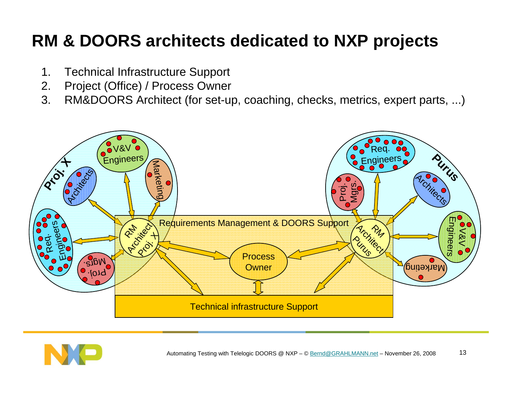## **RM & DOORS architects dedicated to NXP projects**

- 1. Technical Infrastructure Support
- 2. Project (Office) / Process Owner
- 3. RM&DOORS Architect (for set-up, coaching, checks, metrics, expert parts, ...)



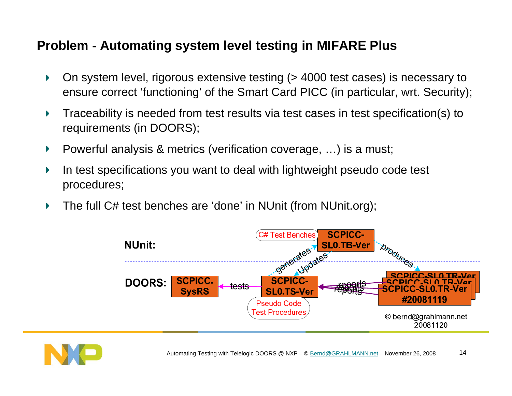#### **Problem - Automating system level testing in MIFARE Plus**

- On system level, rigorous extensive testing (> 4000 test cases) is necessary to ensure correct 'functioning' of the Smart Card PICC (in particular, wrt. Security);
- Traceability is needed from test results via test cases in test specification(s) to requirements (in DOORS);
- Powerful analysis & metrics (verification coverage, …) is a must;
- In test specifications you want to deal with lightweight pseudo code test procedures;
- The full C# test benches are 'done' in NUnit (from NUnit.org);Þ.



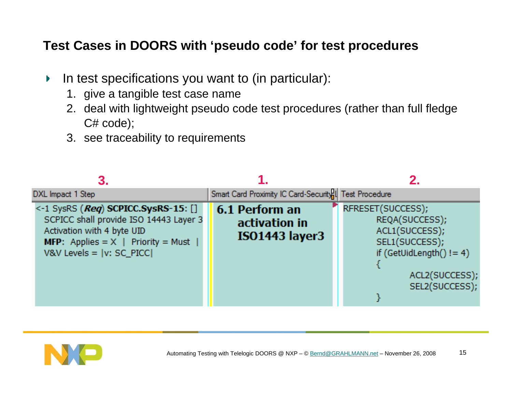#### **Test Cases in DOORS with 'pseudo code' for test procedures**

- In test specifications you want to (in particular):  $\blacktriangleright$  .
	- 1. give a tangible test case name
	- 2. deal with lightweight pseudo code test procedures (rather than full fledge C# code);
	- 3. see traceability to requirements

| DXL Impact 1 Step                                                                                                                                                                                      | Smart Card Proximity IC Card-Security <sup>1</sup>   Test Procedure |                                                                                                                                         |
|--------------------------------------------------------------------------------------------------------------------------------------------------------------------------------------------------------|---------------------------------------------------------------------|-----------------------------------------------------------------------------------------------------------------------------------------|
| $\leq$ 1 SysRS ( <i>Req</i> ) SCPICC.SysRS-15: []<br>SCPICC shall provide ISO 14443 Layer 3<br>Activation with 4 byte UID<br><b>MFP:</b> Applies = $X$   Priority = Must<br>V&V Levels = $ v: SC$ PICC | 6.1 Perform an<br>activation in<br><b>ISO1443</b> layer3            | RFRESET(SUCCESS);<br>REQA(SUCCESS),<br>ACL1(SUCCESS);<br>SEL1(SUCCESS);<br>if (GetUidLength() != 4)<br>ACL2(SUCCESS);<br>SEL2(SUCCESS); |

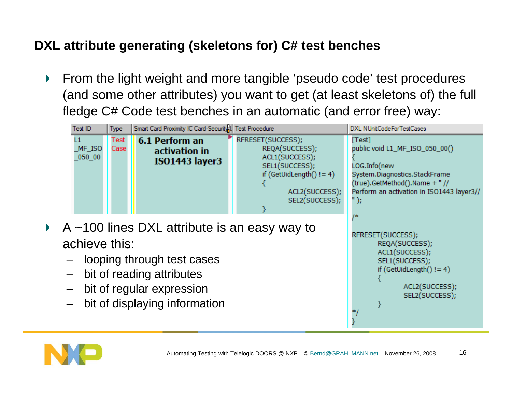#### **DXL attribute generating (skeletons for) C# test benches**

From the light weight and more tangible 'pseudo code' test procedures  $\blacktriangleright$  . (and some other attributes) you want to get (at least skeletons of) the full fledge C# Code test benches in an automatic (and error free) way:



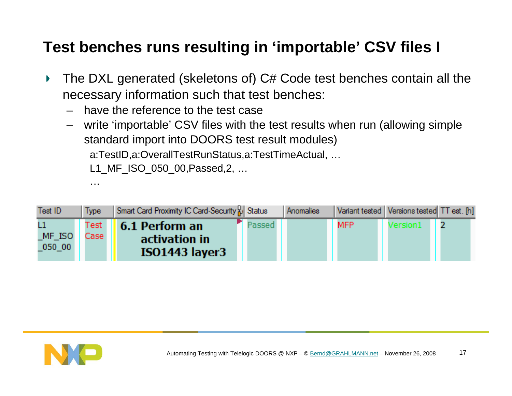### **Test benches runs resulting in 'importable' CSV files I**

- The DXL generated (skeletons of) C# Code test benches contain all the  $\blacktriangleright$ necessary information such that test benches:
	- –have the reference to the test case
	- – write 'importable' CSV files with the test results when run (allowing simple standard import into DOORS test result modules)

a:TestID,a:OverallTestRunStatus,a:TestTimeActual, …

L1 MF ISO 050 00, Passed, 2, ...

| Test ID  | Type | Smart Card Proximity IC Card-Security & Status |       | <b>Anomalies</b> |      | Variant tested   Versions tested TT est. [h] |  |
|----------|------|------------------------------------------------|-------|------------------|------|----------------------------------------------|--|
|          | Test | 6.1 Perform an                                 | assed |                  | MFP. | /ersion1                                     |  |
| $MF$ ISO | Case | activation in                                  |       |                  |      |                                              |  |
| 050 00   |      | ISO1443 layer3                                 |       |                  |      |                                              |  |



…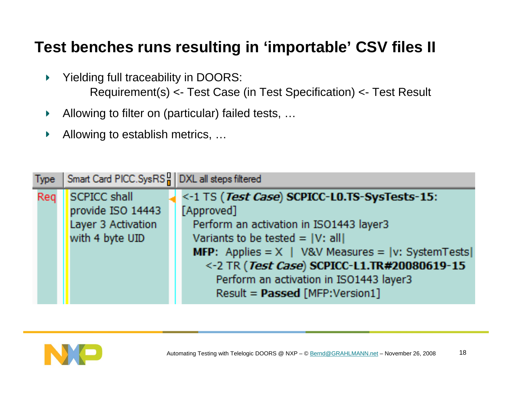#### **Test benches runs resulting in 'importable' CSV files II**

- Yielding full traceability in DOORS:  $\blacktriangleright$ Requirement(s) <- Test Case (in Test Specification) <- Test Result
- Allowing to filter on (particular) failed tests, … Þ.
- Allowing to establish metrics, …Þ.

| <b>Type:</b> | Smart Card PICC.SysRS   DXL all steps filtered |                                                               |
|--------------|------------------------------------------------|---------------------------------------------------------------|
| Req          | SCPICC shall                                   | <-1 TS (Test Case) SCPICC-LO.TS-SysTests-15:                  |
|              | provide ISO 14443                              | [Approved]                                                    |
|              | Layer 3 Activation                             | Perform an activation in ISO1443 layer3                       |
|              | with 4 byte UID                                | Variants to be tested = $ V:$ all                             |
|              |                                                | <b>MFP:</b> Applies = $X$   V&V Measures = $ v: S$ ystemTests |
|              |                                                | <-2 TR (Test Case) SCPICC-L1.TR#20080619-15                   |
|              |                                                | Perform an activation in ISO1443 layer3                       |
|              |                                                | Result = Passed [MFP:Version1]                                |

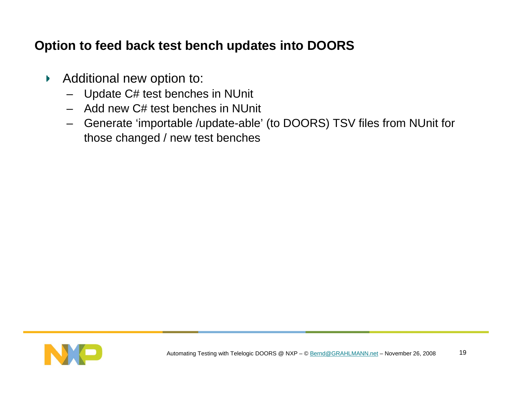#### **Option to feed back test bench updates into DOORS**

- Additional new option to:  $\mathbf{F}^{\pm}$ 
	- Update C# test benches in NUnit
	- Add new C# test benches in NUnit
	- Generate 'importable /update-able' (to DOORS) TSV files from NUnit for those changed / new test benches

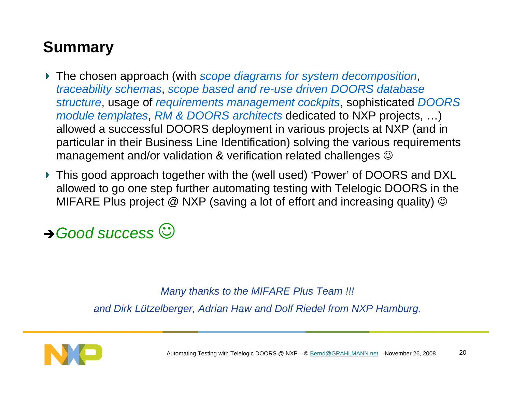### **Summary**

- The chosen approach (with *scope diagrams for system decomposition*, *traceability schemas*, *scope based and re-use driven DOORS database structure*, usage of *requirements management cockpits*, sophisticated *DOORS module templates*, *RM & DOORS architects* dedicated to NXP projects, …) allowed a successful DOORS deployment in various projects at NXP (and in particular in their Business Line Identification) solving the various requirements management and/or validation & verification related challenges  $\odot$
- ▶ This good approach together with the (well used) 'Power' of DOORS and DXL allowed to go one step further automating testing with Telelogic DOORS in the MIFARE Plus project  $@$  NXP (saving a lot of effort and increasing quality)  $@$

→ Good success  $\odot$ 

#### *Many thanks to the MIFARE Plus Team !!!*

*and Dirk Lützelberger, Adrian Haw and Dolf Riedel from NXP Hamburg.*